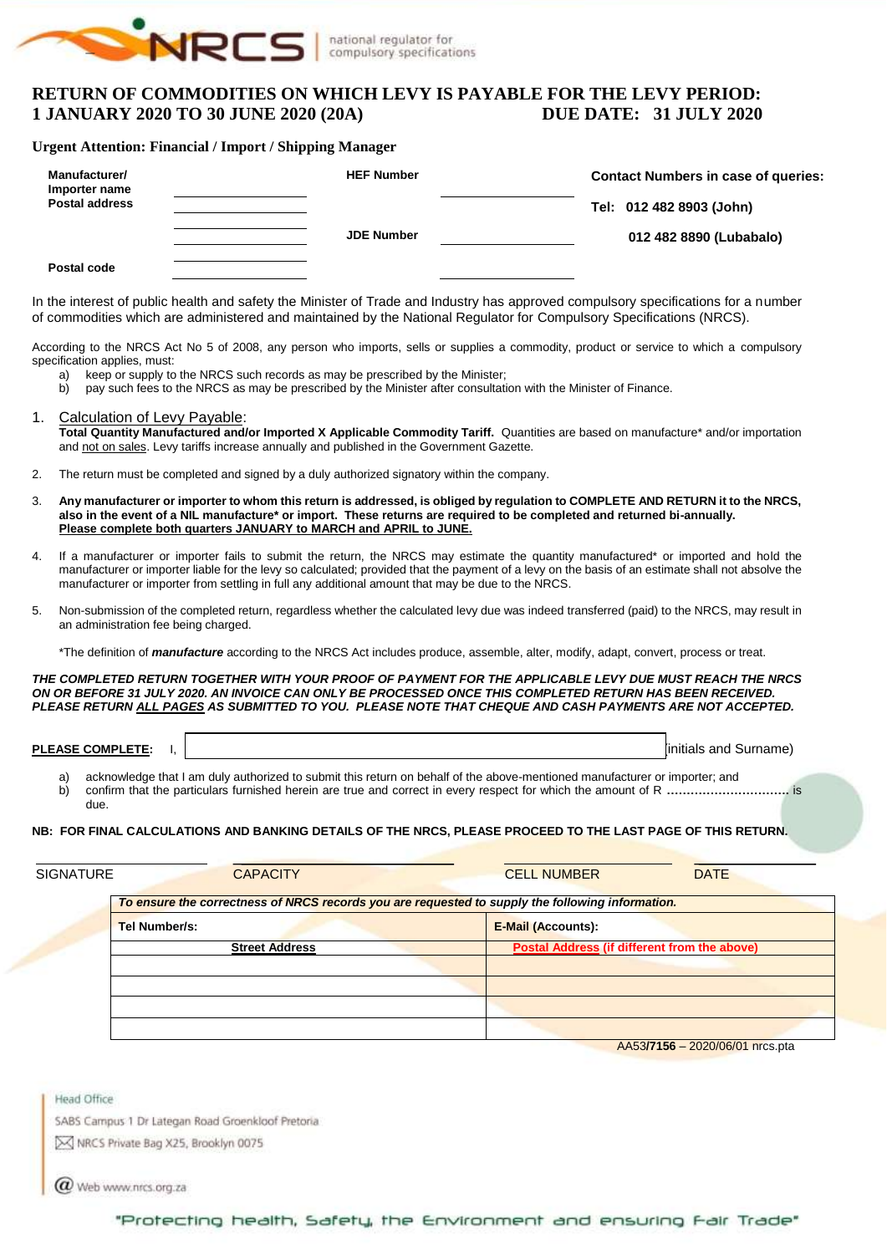

## **RETURN OF COMMODITIES ON WHICH LEVY IS PAYABLE FOR THE LEVY PERIOD: 1 JANUARY 2020 TO 30 JUNE 2020 (20A) DUE DATE: 31 JULY 2020**

#### **Urgent Attention: Financial / Import / Shipping Manager**

| Manufacturer/<br>Importer name<br><b>Postal address</b> | <b>HEF Number</b> | <b>Contact Numbers in case of queries:</b><br>Tel: 012 482 8903 (John) |
|---------------------------------------------------------|-------------------|------------------------------------------------------------------------|
|                                                         | <b>JDE Number</b> | 012 482 8890 (Lubabalo)                                                |
| Postal code                                             |                   |                                                                        |

In the interest of public health and safety the Minister of Trade and Industry has approved compulsory specifications for a number of commodities which are administered and maintained by the National Regulator for Compulsory Specifications (NRCS).

According to the NRCS Act No 5 of 2008, any person who imports, sells or supplies a commodity, product or service to which a compulsory specification applies, must:

- a) keep or supply to the NRCS such records as may be prescribed by the Minister;<br>b) pay such fees to the NRCS as may be prescribed by the Minister after consultati
- b) pay such fees to the NRCS as may be prescribed by the Minister after consultation with the Minister of Finance.

#### 1. Calculation of Levy Payable:

Total Quantity Manufactured and/or Imported X Applicable Commodity Tariff. Quantities are based on manufacture\* and/or importation and not on sales. Levy tariffs increase annually and published in the Government Gazette.

- 2. The return must be completed and signed by a duly authorized signatory within the company.
- 3. **Any manufacturer or importer to whom this return is addressed, is obliged by regulation to COMPLETE AND RETURN it to the NRCS, also in the event of a NIL manufacture\* or import. These returns are required to be completed and returned bi-annually. Please complete both quarters JANUARY to MARCH and APRIL to JUNE.**
- 4. If a manufacturer or importer fails to submit the return, the NRCS may estimate the quantity manufactured\* or imported and hold the manufacturer or importer liable for the levy so calculated; provided that the payment of a levy on the basis of an estimate shall not absolve the manufacturer or importer from settling in full any additional amount that may be due to the NRCS.
- 5. Non-submission of the completed return, regardless whether the calculated levy due was indeed transferred (paid) to the NRCS, may result in an administration fee being charged.
	- \*The definition of *manufacture* according to the NRCS Act includes produce, assemble, alter, modify, adapt, convert, process or treat.

*THE COMPLETED RETURN TOGETHER WITH YOUR PROOF OF PAYMENT FOR THE APPLICABLE LEVY DUE MUST REACH THE NRCS ON OR BEFORE 31 JULY 2020. AN INVOICE CAN ONLY BE PROCESSED ONCE THIS COMPLETED RETURN HAS BEEN RECEIVED. PLEASE RETURN ALL PAGES AS SUBMITTED TO YOU. PLEASE NOTE THAT CHEQUE AND CASH PAYMENTS ARE NOT ACCEPTED.*

**PLEASE COMPLETE:** I,  $\vert$ 

- a) acknowledge that I am duly authorized to submit this return on behalf of the above-mentioned manufacturer or importer; and<br>b) confirm that the particulars furnished herein are true and correct in every respect for which b) confirm that the particulars furnished herein are true and correct in every respect for which the amount of R **………………………….** is
- due.

#### **NB: FOR FINAL CALCULATIONS AND BANKING DETAILS OF THE NRCS, PLEASE PROCEED TO THE LAST PAGE OF THIS RETURN.**

| <b>SIGNATURE</b> | <b>CAPACITY</b>                                                                                  | <b>CELL NUMBER</b>                                  | <b>DATE</b> |  |  |  |  |  |  |
|------------------|--------------------------------------------------------------------------------------------------|-----------------------------------------------------|-------------|--|--|--|--|--|--|
|                  | To ensure the correctness of NRCS records you are requested to supply the following information. |                                                     |             |  |  |  |  |  |  |
|                  | <b>Tel Number/s:</b>                                                                             | <b>E-Mail (Accounts):</b>                           |             |  |  |  |  |  |  |
|                  | <b>Street Address</b>                                                                            | <b>Postal Address (if different from the above)</b> |             |  |  |  |  |  |  |
|                  |                                                                                                  |                                                     |             |  |  |  |  |  |  |
|                  |                                                                                                  |                                                     |             |  |  |  |  |  |  |
|                  |                                                                                                  |                                                     |             |  |  |  |  |  |  |

AA53**/7156** – 2020/06/01 nrcs.pta

**Head Office** SABS Campus 1 Dr Lategan Road Groenkloof Pretoria

MRCS Private Bag X25, Brooklyn 0075

Web www.nrcs.org.za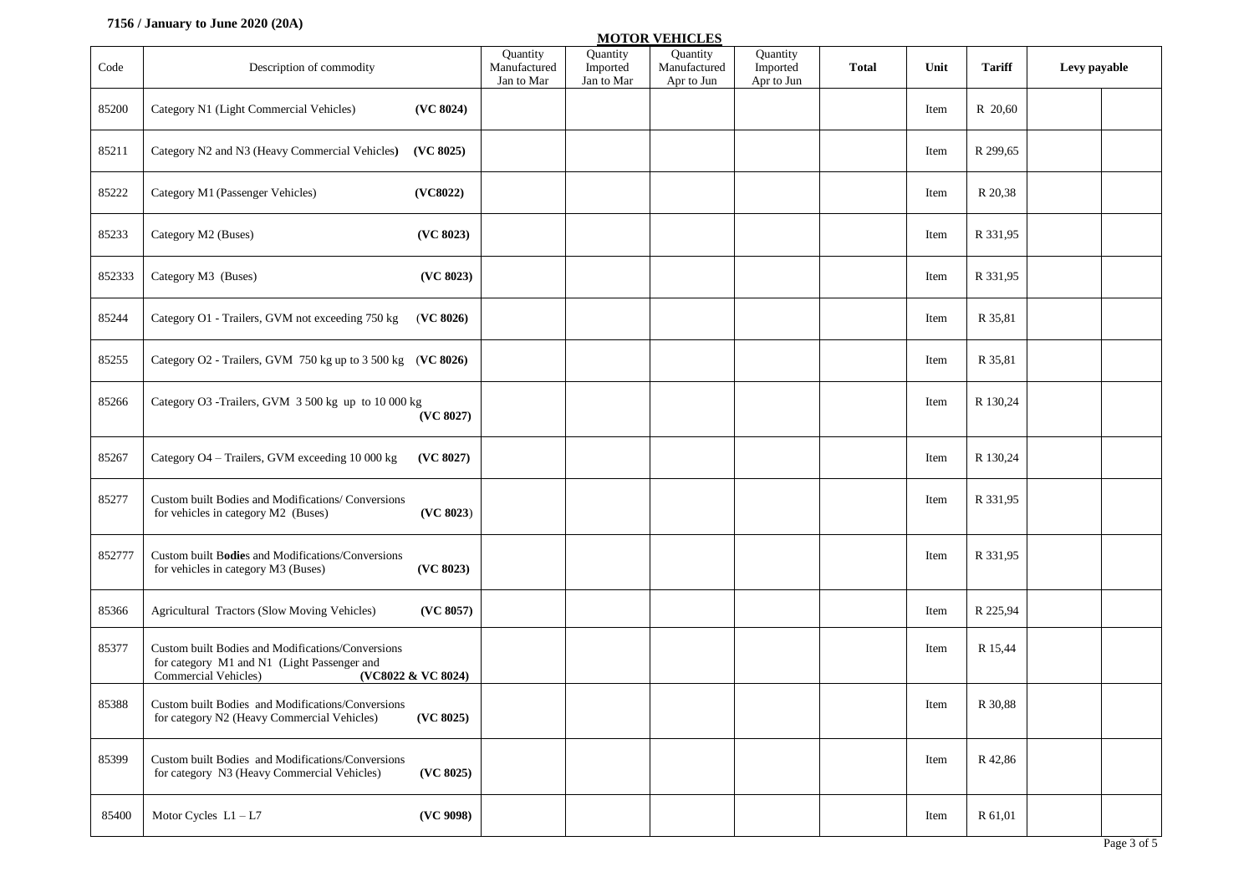#### **7156 / January to June 2020 (20A)**

|        |                                                                                                                                                |                                               |                                    | <b>MOTOR VEHICLES</b>                  |                                    |              |      |               |              |             |
|--------|------------------------------------------------------------------------------------------------------------------------------------------------|-----------------------------------------------|------------------------------------|----------------------------------------|------------------------------------|--------------|------|---------------|--------------|-------------|
| Code   | Description of commodity                                                                                                                       | <b>Ouantity</b><br>Manufactured<br>Jan to Mar | Quantity<br>Imported<br>Jan to Mar | Quantity<br>Manufactured<br>Apr to Jun | Quantity<br>Imported<br>Apr to Jun | <b>Total</b> | Unit | <b>Tariff</b> | Levy payable |             |
| 85200  | (VC 8024)<br>Category N1 (Light Commercial Vehicles)                                                                                           |                                               |                                    |                                        |                                    |              | Item | R 20,60       |              |             |
| 85211  | Category N2 and N3 (Heavy Commercial Vehicles)<br>(VC 8025)                                                                                    |                                               |                                    |                                        |                                    |              | Item | R 299,65      |              |             |
| 85222  | Category M1 (Passenger Vehicles)<br>(VC8022)                                                                                                   |                                               |                                    |                                        |                                    |              | Item | R 20,38       |              |             |
| 85233  | (VC 8023)<br>Category M2 (Buses)                                                                                                               |                                               |                                    |                                        |                                    |              | Item | R 331,95      |              |             |
| 852333 | (VC 8023)<br>Category M3 (Buses)                                                                                                               |                                               |                                    |                                        |                                    |              | Item | R 331,95      |              |             |
| 85244  | Category O1 - Trailers, GVM not exceeding 750 kg<br>(VC 8026)                                                                                  |                                               |                                    |                                        |                                    |              | Item | R 35,81       |              |             |
| 85255  | Category O2 - Trailers, GVM 750 kg up to 3 500 kg (VC 8026)                                                                                    |                                               |                                    |                                        |                                    |              | Item | R 35,81       |              |             |
| 85266  | Category O3 -Trailers, GVM 3 500 kg up to 10 000 kg<br>(VC 8027)                                                                               |                                               |                                    |                                        |                                    |              | Item | R 130,24      |              |             |
| 85267  | Category O4 - Trailers, GVM exceeding 10 000 kg<br>(VC 8027)                                                                                   |                                               |                                    |                                        |                                    |              | Item | R 130,24      |              |             |
| 85277  | Custom built Bodies and Modifications/ Conversions<br>(VC 8023)<br>for vehicles in category M2 (Buses)                                         |                                               |                                    |                                        |                                    |              | Item | R 331,95      |              |             |
| 852777 | Custom built Bodies and Modifications/Conversions<br>(VC 8023)<br>for vehicles in category M3 (Buses)                                          |                                               |                                    |                                        |                                    |              | Item | R 331,95      |              |             |
| 85366  | Agricultural Tractors (Slow Moving Vehicles)<br>(VC 8057)                                                                                      |                                               |                                    |                                        |                                    |              | Item | R 225,94      |              |             |
| 85377  | Custom built Bodies and Modifications/Conversions<br>for category M1 and N1 (Light Passenger and<br>Commercial Vehicles)<br>(VC8022 & VC 8024) |                                               |                                    |                                        |                                    |              | Item | R 15,44       |              |             |
| 85388  | Custom built Bodies and Modifications/Conversions<br>for category N2 (Heavy Commercial Vehicles)<br>(VC 8025)                                  |                                               |                                    |                                        |                                    |              | Item | R 30,88       |              |             |
| 85399  | Custom built Bodies and Modifications/Conversions<br>(VC 8025)<br>for category N3 (Heavy Commercial Vehicles)                                  |                                               |                                    |                                        |                                    |              | Item | R 42,86       |              |             |
| 85400  | Motor Cycles $L1 - L7$<br>(VC 9098)                                                                                                            |                                               |                                    |                                        |                                    |              | Item | R 61,01       |              |             |
|        |                                                                                                                                                |                                               |                                    |                                        |                                    |              |      |               |              | Page 3 of 5 |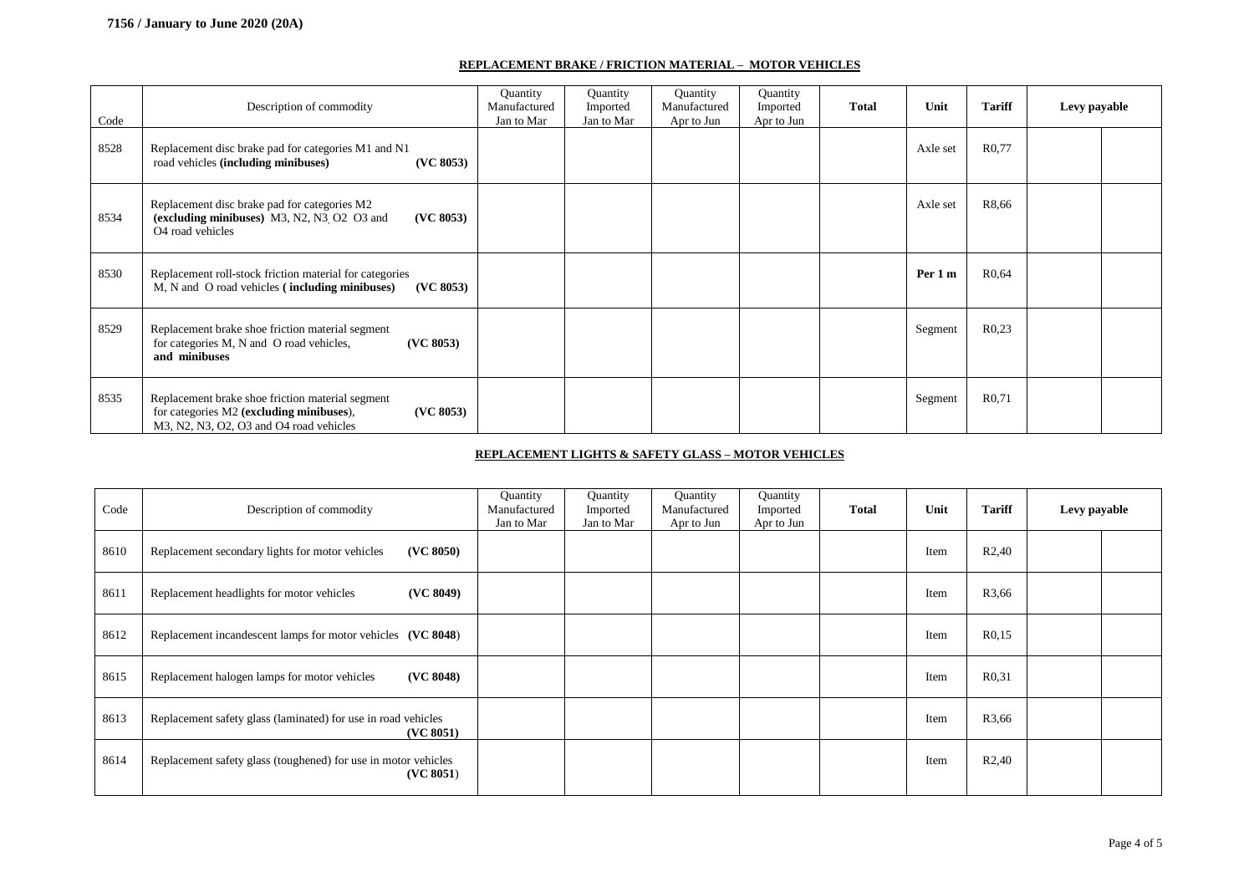#### **REPLACEMENT BRAKE / FRICTION MATERIAL – MOTOR VEHICLES**

| Code | Description of commodity                                                                                                                             | Quantity<br>Manufactured<br>Jan to Mar | Quantity<br>Imported<br>Jan to Mar | Quantity<br>Manufactured<br>Apr to Jun | Quantity<br>Imported<br>Apr to Jun | <b>Total</b> | Unit     | <b>Tariff</b>      | Levy payable |  |
|------|------------------------------------------------------------------------------------------------------------------------------------------------------|----------------------------------------|------------------------------------|----------------------------------------|------------------------------------|--------------|----------|--------------------|--------------|--|
| 8528 | Replacement disc brake pad for categories M1 and N1<br>(VC 8053)<br>road vehicles (including minibuses)                                              |                                        |                                    |                                        |                                    |              | Axle set | R <sub>0</sub> .77 |              |  |
| 8534 | Replacement disc brake pad for categories M2<br>(excluding minibuses) M3, N2, N3 O2 O3 and<br>(VC 8053)<br>O <sub>4</sub> road vehicles              |                                        |                                    |                                        |                                    |              | Axle set | R8,66              |              |  |
| 8530 | Replacement roll-stock friction material for categories<br>M, N and O road vehicles (including minibuses)<br>(VC 8053)                               |                                        |                                    |                                        |                                    |              | Per 1 m  | R <sub>0</sub> .64 |              |  |
| 8529 | Replacement brake shoe friction material segment<br>for categories M, N and O road vehicles,<br>(VC 8053)<br>and minibuses                           |                                        |                                    |                                        |                                    |              | Segment  | R <sub>0.23</sub>  |              |  |
| 8535 | Replacement brake shoe friction material segment<br>for categories M2 (excluding minibuses),<br>(VC 8053)<br>M3, N2, N3, O2, O3 and O4 road vehicles |                                        |                                    |                                        |                                    |              | Segment  | R <sub>0</sub> ,71 |              |  |

#### **REPLACEMENT LIGHTS & SAFETY GLASS – MOTOR VEHICLES**

| Code | Description of commodity                                                    | Quantity<br>Manufactured<br>Jan to Mar | Quantity<br>Imported<br>Jan to Mar | Quantity<br>Manufactured<br>Apr to Jun | Quantity<br>Imported<br>Apr to Jun | <b>Total</b> | Unit | <b>Tariff</b>      | Levy payable |  |
|------|-----------------------------------------------------------------------------|----------------------------------------|------------------------------------|----------------------------------------|------------------------------------|--------------|------|--------------------|--------------|--|
| 8610 | (VC 8050)<br>Replacement secondary lights for motor vehicles                |                                        |                                    |                                        |                                    |              | Item | R <sub>2</sub> ,40 |              |  |
| 8611 | (VC 8049)<br>Replacement headlights for motor vehicles                      |                                        |                                    |                                        |                                    |              | Item | R3,66              |              |  |
| 8612 | Replacement incandescent lamps for motor vehicles (VC 8048)                 |                                        |                                    |                                        |                                    |              | Item | R <sub>0,15</sub>  |              |  |
| 8615 | (VC 8048)<br>Replacement halogen lamps for motor vehicles                   |                                        |                                    |                                        |                                    |              | Item | R <sub>0</sub> ,31 |              |  |
| 8613 | Replacement safety glass (laminated) for use in road vehicles<br>(VC 8051)  |                                        |                                    |                                        |                                    |              | Item | R3,66              |              |  |
| 8614 | Replacement safety glass (toughened) for use in motor vehicles<br>(VC 8051) |                                        |                                    |                                        |                                    |              | Item | R2,40              |              |  |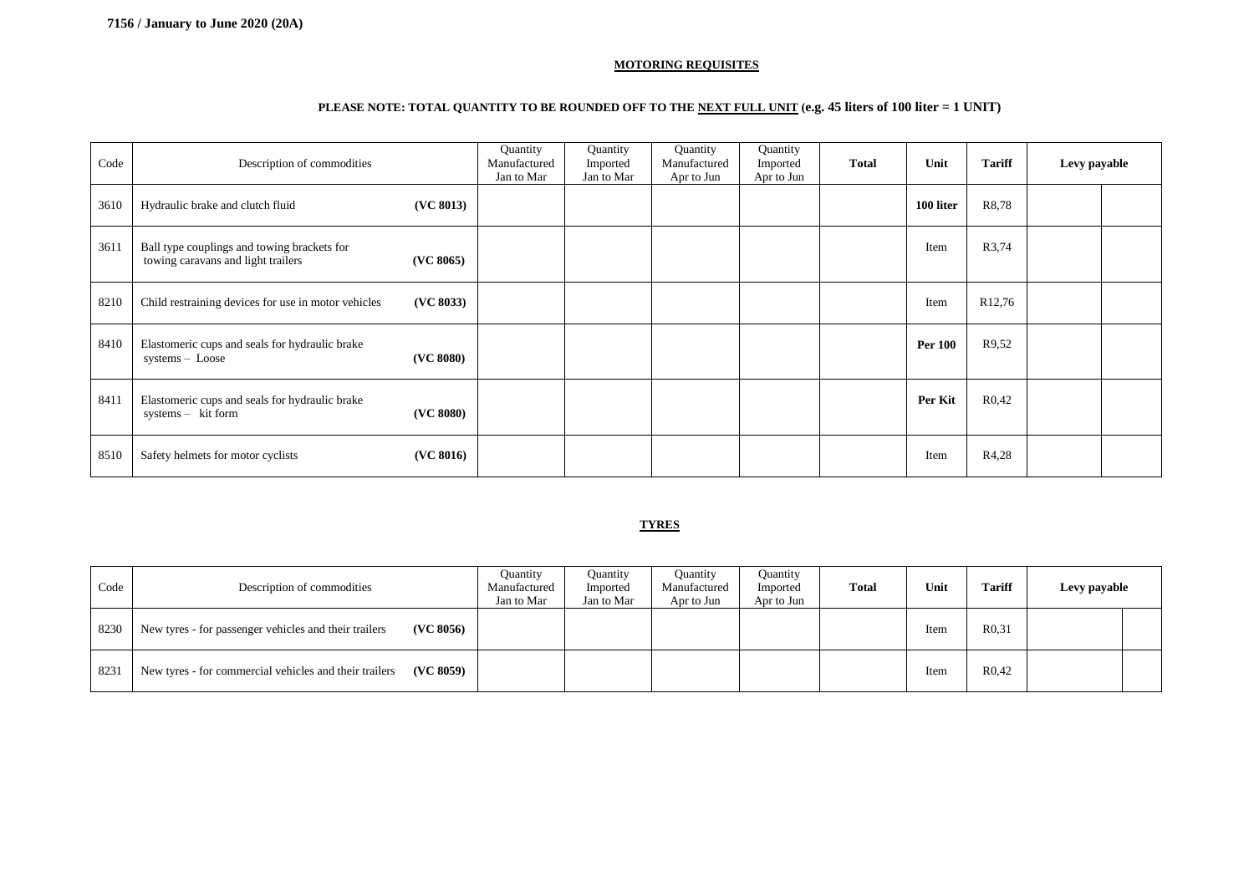#### **MOTORING REQUISITES**

### **PLEASE NOTE: TOTAL QUANTITY TO BE ROUNDED OFF TO THE NEXT FULL UNIT (e.g. 45 liters of 100 liter = 1 UNIT)**

| Code | Description of commodities                                                                     | Quantity<br>Manufactured<br>Jan to Mar | Quantity<br>Imported<br>Jan to Mar | Quantity<br>Manufactured<br>Apr to Jun | Quantity<br>Imported<br>Apr to Jun | <b>Total</b> | Unit           | <b>Tariff</b>      | Levy payable |  |
|------|------------------------------------------------------------------------------------------------|----------------------------------------|------------------------------------|----------------------------------------|------------------------------------|--------------|----------------|--------------------|--------------|--|
| 3610 | (VC 8013)<br>Hydraulic brake and clutch fluid                                                  |                                        |                                    |                                        |                                    |              | 100 liter      | R8,78              |              |  |
| 3611 | Ball type couplings and towing brackets for<br>towing caravans and light trailers<br>(VC 8065) |                                        |                                    |                                        |                                    |              | Item           | R3,74              |              |  |
| 8210 | (VC 8033)<br>Child restraining devices for use in motor vehicles                               |                                        |                                    |                                        |                                    |              | Item           | R <sub>12,76</sub> |              |  |
| 8410 | Elastomeric cups and seals for hydraulic brake<br>(VC 8080)<br>$systems - Loose$               |                                        |                                    |                                        |                                    |              | <b>Per 100</b> | R9.52              |              |  |
| 8411 | Elastomeric cups and seals for hydraulic brake<br>(VC 8080)<br>systems - kit form              |                                        |                                    |                                        |                                    |              | Per Kit        | R <sub>0</sub> ,42 |              |  |
| 8510 | (VC 8016)<br>Safety helmets for motor cyclists                                                 |                                        |                                    |                                        |                                    |              | Item           | R4,28              |              |  |

#### **TYRES**

| Code | Description of commodities                                          | Ouantity<br>Manufactured<br>Jan to Mar | Quantity<br>Imported<br>Jan to Mar | <b>Quantity</b><br>Manufactured<br>Apr to Jun | Quantity<br>Imported<br>Apr to Jun | <b>Total</b> | Unit | <b>Tariff</b>      | Levy payable |  |
|------|---------------------------------------------------------------------|----------------------------------------|------------------------------------|-----------------------------------------------|------------------------------------|--------------|------|--------------------|--------------|--|
| 8230 | New tyres - for passenger vehicles and their trailers<br>(VC 8056)  |                                        |                                    |                                               |                                    |              | Item | R <sub>0</sub> .31 |              |  |
| 8231 | New tyres - for commercial vehicles and their trailers<br>(VC 8059) |                                        |                                    |                                               |                                    |              | Item | R <sub>0</sub> ,42 |              |  |